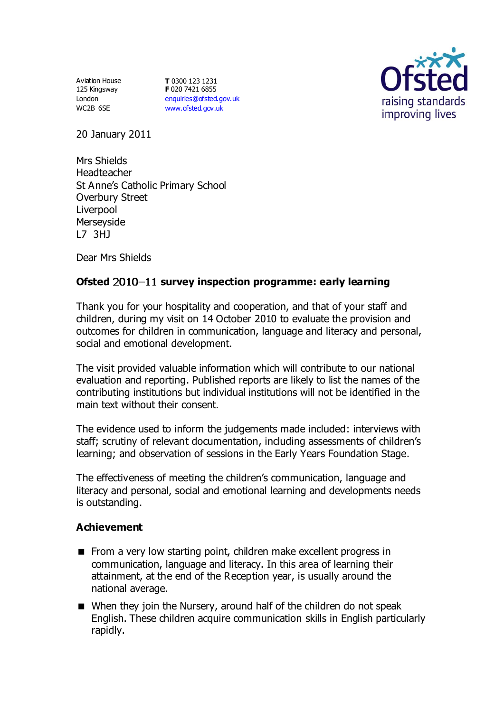Aviation House 125 Kingsway London WC2B 6SE

**T** 0300 123 1231 **F** 020 7421 6855 [enquiries@ofsted.gov.uk](mailto:enquiries@ofsted.gov.uk) [www.ofsted.gov.uk](http://www.ofsted.gov.uk/)



20 January 2011

Mrs Shields Headteacher St Anne's Catholic Primary School Overbury Street Liverpool Merseyside L7 3HJ

Dear Mrs Shields

# Ofsted 2010-11 survey inspection programme: early learning

Thank you for your hospitality and cooperation, and that of your staff and children, during my visit on 14 October 2010 to evaluate the provision and outcomes for children in communication, language and literacy and personal, social and emotional development.

The visit provided valuable information which will contribute to our national evaluation and reporting. Published reports are likely to list the names of the contributing institutions but individual institutions will not be identified in the main text without their consent.

The evidence used to inform the judgements made included: interviews with staff; scrutiny of relevant documentation, including assessments of children's learning; and observation of sessions in the Early Years Foundation Stage.

The effectiveness of meeting the children's communication, language and literacy and personal, social and emotional learning and developments needs is outstanding.

### **Achievement**

- From a very low starting point, children make excellent progress in communication, language and literacy. In this area of learning their attainment, at the end of the Reception year, is usually around the national average.
- When they join the Nursery, around half of the children do not speak English. These children acquire communication skills in English particularly rapidly.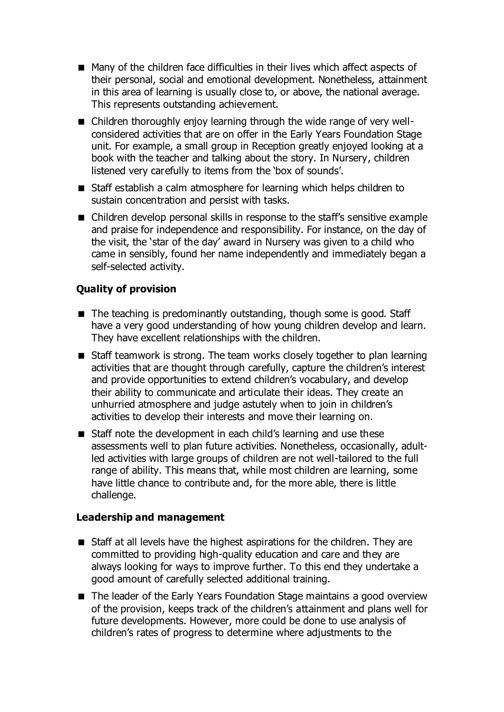- Many of the children face difficulties in their lives which affect aspects of their personal, social and emotional development. Nonetheless, attainment in this area of learning is usually close to, or above, the national average. This represents outstanding achievement.
- Children thoroughly enjoy learning through the wide range of very wellconsidered activities that are on offer in the Early Years Foundation Stage unit. For example, a small group in Reception greatly enjoyed looking at a book with the teacher and talking about the story. In Nursery, children listened very carefully to items from the 'box of sounds'.
- Staff establish a calm atmosphere for learning which helps children to sustain concentration and persist with tasks.
- Children develop personal skills in response to the staff's sensitive example and praise for independence and responsibility. For instance, on the day of the visit, the 'star of the day' award in Nursery was given to a child who came in sensibly, found her name independently and immediately began a self-selected activity.

### **Quality of provision**

- The teaching is predominantly outstanding, though some is good. Staff have a very good understanding of how young children develop and learn. They have excellent relationships with the children.
- Staff teamwork is strong. The team works closely together to plan learning activities that are thought through carefully, capture the children's interest and provide opportunities to extend children's vocabulary, and develop their ability to communicate and articulate their ideas. They create an unhurried atmosphere and judge astutely when to join in children's activities to develop their interests and move their learning on.
- Staff note the development in each child's learning and use these assessments well to plan future activities. Nonetheless, occasionally, adultled activities with large groups of children are not well-tailored to the full range of ability. This means that, while most children are learning, some have little chance to contribute and, for the more able, there is little challenge.

### **Leadership and management**

- Staff at all levels have the highest aspirations for the children. They are committed to providing high-quality education and care and they are always looking for ways to improve further. To this end they undertake a good amount of carefully selected additional training.
- The leader of the Early Years Foundation Stage maintains a good overview of the provision, keeps track of the children's attainment and plans well for future developments. However, more could be done to use analysis of children's rates of progress to determine where adjustments to the